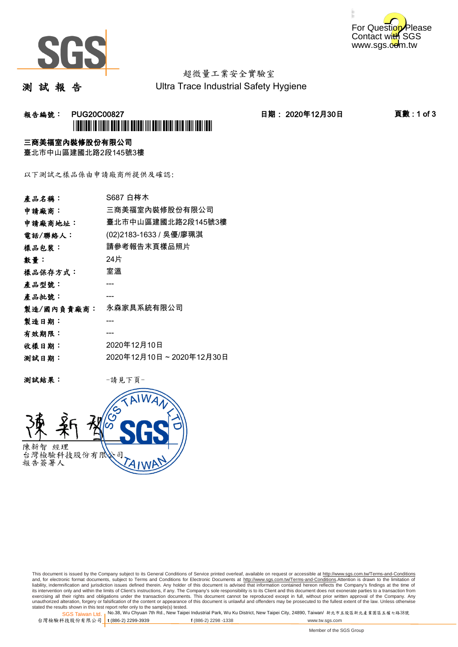



### 超微量工業安全實驗室 Ultra Trace Industrial Safety Hygiene

測 試 報 告

## **報告編號: PUG20C00827 日期: 2020年12月30日 頁數:1 of 3** \*PUG20C00827\*

### 三商美福室內裝修股份有限公司

臺北市中山區建國北路2段145號3樓

以下測試之樣品係由申請廠商所提供及確認:

| 產品名稱:      | S687 白梣木                |
|------------|-------------------------|
| 申請廠商:      | 三商美福室內裝修股份有限公司          |
| 申請廠商地址:    | 臺北市中山區建國北路2段145號3樓      |
| 電話/聯絡人:    | (02)2183-1633 / 吳優/廖珮淇  |
| 樣品包裝:      | 請參考報告末頁樣品照片             |
| 數量 :       | 24片                     |
| 樣品保存方式:    | 室溫                      |
| 產品型號:      |                         |
| 產品批號:      |                         |
| 製造/國內負責廠商: | 永森家具系統有限公司              |
| 製造日期:      |                         |
| 有效期限:      |                         |
| 收樣日期:      | 2020年12月10日             |
| 测試日期:      | 2020年12月10日~2020年12月30日 |
|            |                         |

测試結果: 一請見下頁



This document is issued by the Company subject to its General Conditions of Service printed overleaf, available on request or accessible at http://www.sgs.com.tw/Terms-and-Conditions and, for electronic format documents, subject to Terms and Conditions for Electronic Documents at <u>http://www.sgs.com.tw/Terms-and-Conditions</u>.Attention is drawn to the limitation of<br>liability, indemnification and jurisdic exercising all their rights and obligations under the transaction documents. This document cannot be reproduced except in full, without prior written approval of the Company. Any<br>unauthorized alteration, forgery or falsifi

SGS Taiwan Ltd. 1 stated the results shown in this test report refer only to the sample(s) tested.<br>Stated the results shown in this test report refer only to the sample(s) tested.

台灣檢驗科技股份有限公司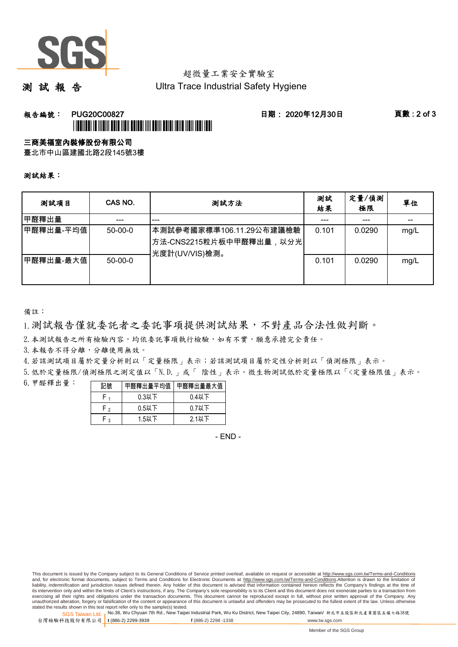

# 超微量工業安全實驗室

測 試 報 告

Ultra Trace Industrial Safety Hygiene

### **報告編號: PUG20C00827 日期: 2020年12月30日 頁數:2 of 3** \*PUG20C00827\*

#### 三商美福室內裝修股份有限公司

臺北市中山區建國北路2段145號3樓

測試結果:

| 测試項目      | CAS NO.       | 測試方法                                                                  | 測試<br>結果 | 定量/偵測<br>極限 | 單位   |
|-----------|---------------|-----------------------------------------------------------------------|----------|-------------|------|
| 甲醛釋出量     |               | ---                                                                   |          | ---         |      |
| 甲醛釋出量-平均值 | $50-00-0$     | 本測試參考國家標準106.11.29公布建議檢驗<br>方法-CNS2215粒片板中甲醛釋出量,以分光<br>光度計(UV/VIS)檢測。 | 0.101    | 0.0290      | mg/L |
| 甲醛釋出量-最大值 | $50 - 00 - 0$ |                                                                       | 0.101    | 0.0290      | mg/L |

備註:

1.測試報告僅就委託者之委託事項提供測試結果,不對產品合法性做判斷。

2.本測試報告之所有檢驗內容,均依委託事項執行檢驗,如有不實,願意承擔完全責任。

3. 本報告不得分離,分離使用無效。

4.若該測試項目屬於定量分析則以「定量極限」表示;若該測試項目屬於定性分析則以「偵測極限」表示。

5.低於定量極限/偵測極限之測定值以「N.D.」或「 陰性」表示。微生物測試低於定量極限以「<定量極限值」表示。

6.甲醛釋出量:

|              | 醛釋出量平均值丨 | 甲醛釋出量最大值 |  |  |
|--------------|----------|----------|--|--|
|              | $0.3$ 以下 | $0.4$ 以下 |  |  |
| Γ٥           | $0.5$ 以下 | $0.7$ 以下 |  |  |
| $\mathbf{r}$ | $1.5$ 以下 | $2.1$ 以下 |  |  |

- END -

This document is issued by the Company subject to its General Conditions of Service printed overleaf, available on request or accessible at http://www.sgs.com.tw/Terms-and-Conditions and, for electronic format documents, subject to Terms and Conditions for Electronic Documents at http://www.sgs.com.tw/Terms-and-Conditions.Attention is drawn to the limitation of liability, indemnification and jurisdiction issues defined therein. Any holder of this document is advised that information contained hereon reflects the Company's findings at the time of<br>its intervention only and within t exercising all their rights and obligations under the transaction documents. This document cannot be reproduced except in full, without prior written approval of the Company. Any<br>unauthorized alteration, forgery or falsifi

SGS Taiwan Ltd. 1 stated the results shown in this test report refer only to the sample(s) tested.<br>Stated the results shown in this test report refer only to the sample(s) tested.

台灣檢驗科技股份有限公司

**t** (886-2) 2299-3939 **f** (886-2) 2298 -1338 www.tw.sgs.com